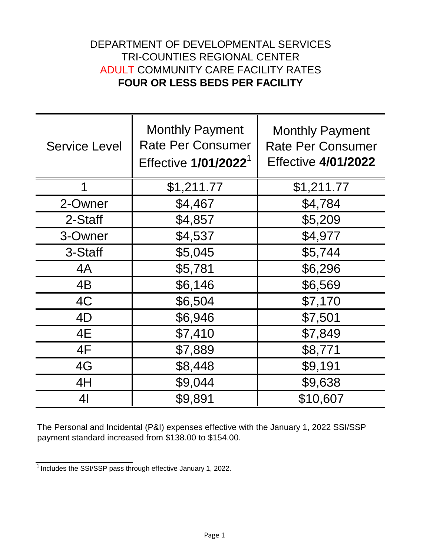## **FOUR OR LESS BEDS PER FACILITY** ADULT COMMUNITY CARE FACILITY RATES DEPARTMENT OF DEVELOPMENTAL SERVICES TRI-COUNTIES REGIONAL CENTER

| <b>Service Level</b> | <b>Monthly Payment</b><br><b>Rate Per Consumer</b><br>Effective 1/01/2022 <sup>1</sup> | <b>Monthly Payment</b><br><b>Rate Per Consumer</b><br><b>Effective 4/01/2022</b> |
|----------------------|----------------------------------------------------------------------------------------|----------------------------------------------------------------------------------|
| 1                    | \$1,211.77                                                                             | \$1,211.77                                                                       |
| 2-Owner              | \$4,467                                                                                | \$4,784                                                                          |
| 2-Staff              | \$4,857                                                                                | \$5,209                                                                          |
| 3-Owner              | \$4,537                                                                                | \$4,977                                                                          |
| 3-Staff              | \$5,045                                                                                | \$5,744                                                                          |
| 4A                   | \$5,781                                                                                | \$6,296                                                                          |
| 4B                   | \$6,146                                                                                | \$6,569                                                                          |
| 4C                   | \$6,504                                                                                | \$7,170                                                                          |
| 4D                   | \$6,946                                                                                | \$7,501                                                                          |
| 4E                   | \$7,410                                                                                | \$7,849                                                                          |
| 4F                   | \$7,889                                                                                | \$8,771                                                                          |
| 4G                   | \$8,448                                                                                | \$9,191                                                                          |
| 4H                   | \$9,044                                                                                | \$9,638                                                                          |
| 4 <sub>l</sub>       | \$9,891                                                                                | \$10,607                                                                         |

The Personal and Incidental (P&I) expenses effective with the January 1, 2022 SSI/SSP payment standard increased from \$138.00 to \$154.00.

<sup>&</sup>lt;sup>1</sup> Includes the SSI/SSP pass through effective January 1, 2022.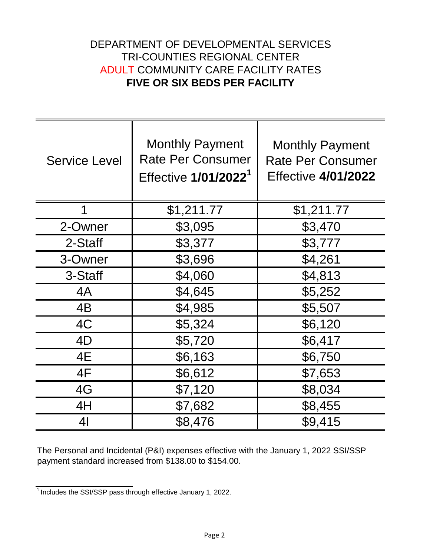## DEPARTMENT OF DEVELOPMENTAL SERVICES **FIVE OR SIX BEDS PER FACILITY** ADULT COMMUNITY CARE FACILITY RATES TRI-COUNTIES REGIONAL CENTER

| <b>Service Level</b> | <b>Monthly Payment</b><br><b>Rate Per Consumer</b><br>Effective 1/01/2022 <sup>1</sup> | <b>Monthly Payment</b><br><b>Rate Per Consumer</b><br><b>Effective 4/01/2022</b> |
|----------------------|----------------------------------------------------------------------------------------|----------------------------------------------------------------------------------|
| 1                    | \$1,211.77                                                                             | \$1,211.77                                                                       |
| 2-Owner              | \$3,095                                                                                | \$3,470                                                                          |
| 2-Staff              | \$3,377                                                                                | \$3,777                                                                          |
| 3-Owner              | \$3,696                                                                                | \$4,261                                                                          |
| 3-Staff              | \$4,060                                                                                | \$4,813                                                                          |
| 4A                   | \$4,645                                                                                | \$5,252                                                                          |
| 4B                   | \$4,985                                                                                | \$5,507                                                                          |
| 4C                   | \$5,324                                                                                | \$6,120                                                                          |
| 4D                   | \$5,720                                                                                | \$6,417                                                                          |
| 4E                   | \$6,163                                                                                | \$6,750                                                                          |
| 4F                   | \$6,612                                                                                | \$7,653                                                                          |
| 4G                   | \$7,120                                                                                | \$8,034                                                                          |
| 4H                   | \$7,682                                                                                | \$8,455                                                                          |
| 41                   | \$8,476                                                                                | \$9,415                                                                          |

The Personal and Incidental (P&I) expenses effective with the January 1, 2022 SSI/SSP payment standard increased from \$138.00 to \$154.00.

<sup>1</sup>Includes the SSI/SSP pass through effective January 1, 2022.